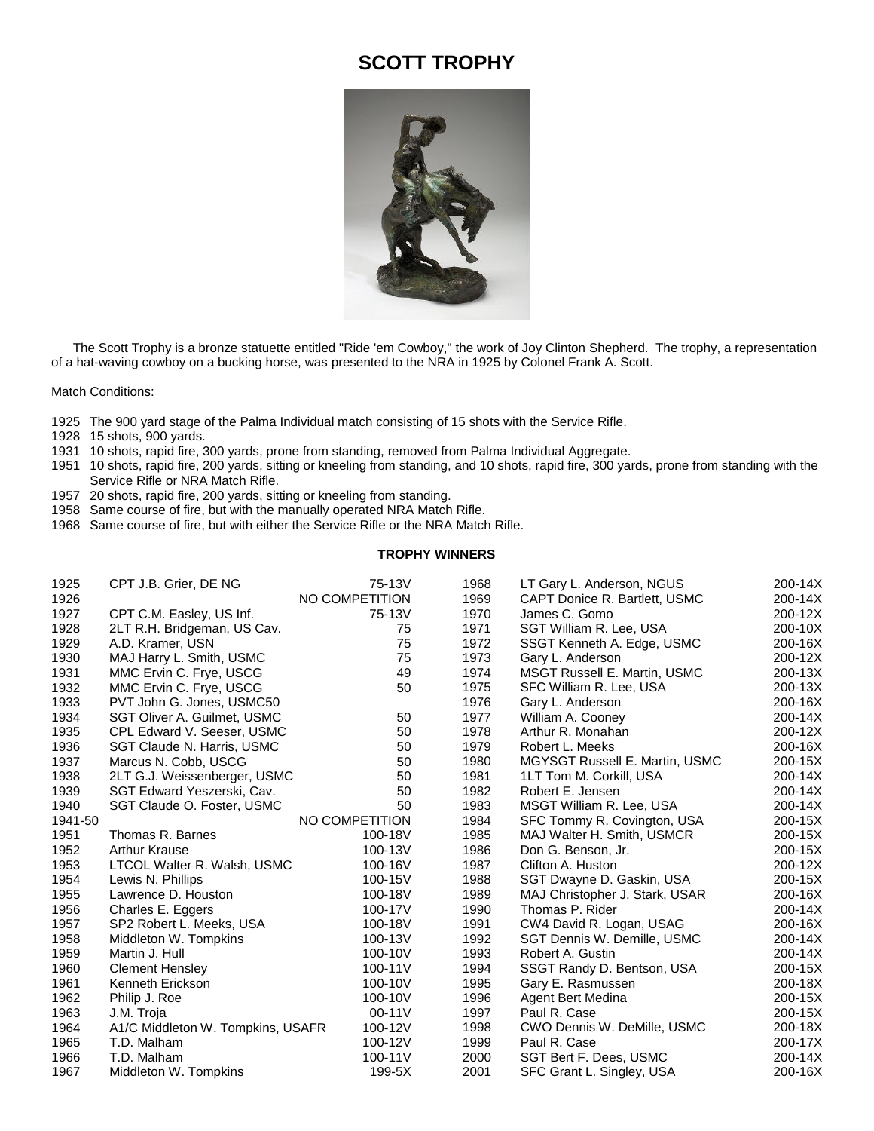## **SCOTT TROPHY**



 The Scott Trophy is a bronze statuette entitled "Ride 'em Cowboy," the work of Joy Clinton Shepherd. The trophy, a representation of a hat-waving cowboy on a bucking horse, was presented to the NRA in 1925 by Colonel Frank A. Scott.

Match Conditions:

- The 900 yard stage of the Palma Individual match consisting of 15 shots with the Service Rifle.
- 15 shots, 900 yards.
- 10 shots, rapid fire, 300 yards, prone from standing, removed from Palma Individual Aggregate.
- 10 shots, rapid fire, 200 yards, sitting or kneeling from standing, and 10 shots, rapid fire, 300 yards, prone from standing with the Service Rifle or NRA Match Rifle.
- 20 shots, rapid fire, 200 yards, sitting or kneeling from standing.
- Same course of fire, but with the manually operated NRA Match Rifle.
- Same course of fire, but with either the Service Rifle or the NRA Match Rifle.

## **TROPHY WINNERS**

| 1925    | CPT J.B. Grier, DE NG             | 75-13V         | 1968 | LT Gary L. Anderson, NGUS             | 200-14X |
|---------|-----------------------------------|----------------|------|---------------------------------------|---------|
| 1926    |                                   | NO COMPETITION | 1969 | CAPT Donice R. Bartlett, USMC         | 200-14X |
| 1927    | CPT C.M. Easley, US Inf.          | 75-13V         | 1970 | James C. Gomo                         | 200-12X |
| 1928    | 2LT R.H. Bridgeman, US Cav.       | 75             | 1971 | SGT William R. Lee, USA               | 200-10X |
| 1929    | A.D. Kramer, USN                  | 75             | 1972 | SSGT Kenneth A. Edge, USMC            | 200-16X |
| 1930    | MAJ Harry L. Smith, USMC          | 75             | 1973 | Gary L. Anderson                      | 200-12X |
| 1931    | MMC Ervin C. Frye, USCG           | 49             | 1974 | MSGT Russell E. Martin, USMC          | 200-13X |
| 1932    | MMC Ervin C. Frye, USCG           | 50             | 1975 | SFC William R. Lee, USA               | 200-13X |
| 1933    | PVT John G. Jones, USMC50         |                | 1976 | Gary L. Anderson                      | 200-16X |
| 1934    | SGT Oliver A. Guilmet, USMC       | 50             | 1977 | William A. Cooney                     | 200-14X |
| 1935    | CPL Edward V. Seeser, USMC        | 50             | 1978 | Arthur R. Monahan                     | 200-12X |
| 1936    | SGT Claude N. Harris, USMC        | 50             | 1979 | Robert L. Meeks                       | 200-16X |
| 1937    | Marcus N. Cobb, USCG              | 50             | 1980 | <b>MGYSGT Russell E. Martin, USMC</b> | 200-15X |
| 1938    | 2LT G.J. Weissenberger, USMC      | 50             | 1981 | 1LT Tom M. Corkill, USA               | 200-14X |
| 1939    | SGT Edward Yeszerski, Cav.        | 50             | 1982 | Robert E. Jensen                      | 200-14X |
| 1940    | SGT Claude O. Foster, USMC        | 50             | 1983 | MSGT William R. Lee, USA              | 200-14X |
| 1941-50 |                                   | NO COMPETITION | 1984 | SFC Tommy R. Covington, USA           | 200-15X |
| 1951    | Thomas R. Barnes                  | 100-18V        | 1985 | MAJ Walter H. Smith, USMCR            | 200-15X |
| 1952    | <b>Arthur Krause</b>              | 100-13V        | 1986 | Don G. Benson, Jr.                    | 200-15X |
| 1953    | LTCOL Walter R. Walsh, USMC       | 100-16V        | 1987 | Clifton A. Huston                     | 200-12X |
| 1954    | Lewis N. Phillips                 | 100-15V        | 1988 | SGT Dwayne D. Gaskin, USA             | 200-15X |
| 1955    | Lawrence D. Houston               | 100-18V        | 1989 | MAJ Christopher J. Stark, USAR        | 200-16X |
| 1956    | Charles E. Eggers                 | 100-17V        | 1990 | Thomas P. Rider                       | 200-14X |
| 1957    | SP2 Robert L. Meeks, USA          | 100-18V        | 1991 | CW4 David R. Logan, USAG              | 200-16X |
| 1958    | Middleton W. Tompkins             | 100-13V        | 1992 | SGT Dennis W. Demille, USMC           | 200-14X |
| 1959    | Martin J. Hull                    | 100-10V        | 1993 | Robert A. Gustin                      | 200-14X |
| 1960    | <b>Clement Hensley</b>            | 100-11V        | 1994 | SSGT Randy D. Bentson, USA            | 200-15X |
| 1961    | Kenneth Erickson                  | 100-10V        | 1995 | Gary E. Rasmussen                     | 200-18X |
| 1962    | Philip J. Roe                     | 100-10V        | 1996 | Agent Bert Medina                     | 200-15X |
| 1963    | J.M. Troja                        | 00-11V         | 1997 | Paul R. Case                          | 200-15X |
| 1964    | A1/C Middleton W. Tompkins, USAFR | 100-12V        | 1998 | CWO Dennis W. DeMille, USMC           | 200-18X |
| 1965    | T.D. Malham                       | 100-12V        | 1999 | Paul R. Case                          | 200-17X |
| 1966    | T.D. Malham                       | 100-11V        | 2000 | SGT Bert F. Dees, USMC                | 200-14X |
| 1967    | Middleton W. Tompkins             | 199-5X         | 2001 | SFC Grant L. Singley, USA             | 200-16X |